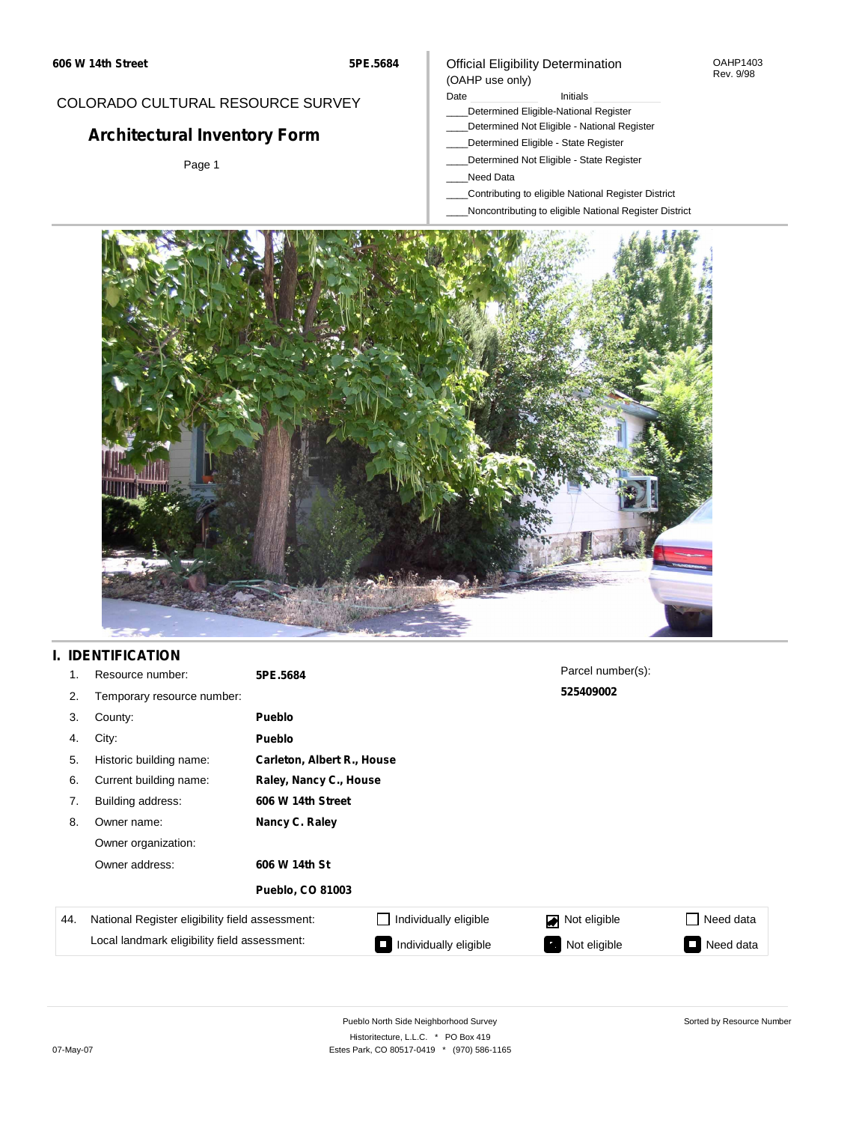#### OAHP1403 Rev. 9/98

### COLORADO CULTURAL RESOURCE SURVEY

# **Architectural Inventory Form**

Page 1

### Official Eligibility Determination (OAHP use only)

Date **Initials** Initials

- \_\_\_\_Determined Eligible-National Register
- \_\_\_\_Determined Not Eligible National Register
- \_\_\_\_Determined Eligible State Register
- \_\_\_\_Determined Not Eligible State Register
- \_\_\_\_Need Data
- \_\_\_\_Contributing to eligible National Register District
- \_\_\_\_Noncontributing to eligible National Register District



### **I. IDENTIFICATION**

| 1.  | Resource number:                                | 5PE.5684                |                            | Parcel number(s): |           |  |  |
|-----|-------------------------------------------------|-------------------------|----------------------------|-------------------|-----------|--|--|
| 2.  | Temporary resource number:                      |                         |                            | 525409002         |           |  |  |
| 3.  | County:                                         | <b>Pueblo</b>           |                            |                   |           |  |  |
| 4.  | City:                                           | <b>Pueblo</b>           |                            |                   |           |  |  |
| 5.  | Historic building name:                         |                         | Carleton, Albert R., House |                   |           |  |  |
| 6.  | Current building name:                          |                         | Raley, Nancy C., House     |                   |           |  |  |
| 7.  | Building address:                               | 606 W 14th Street       |                            |                   |           |  |  |
| 8.  | Owner name:                                     | Nancy C. Raley          |                            |                   |           |  |  |
|     | Owner organization:                             |                         |                            |                   |           |  |  |
|     | Owner address:                                  | 606 W 14th St           |                            |                   |           |  |  |
|     |                                                 | <b>Pueblo, CO 81003</b> |                            |                   |           |  |  |
| 44. | National Register eligibility field assessment: |                         | Individually eligible      | Not eligible      | Need data |  |  |
|     | Local landmark eligibility field assessment:    |                         | Individually eligible      | Not eligible      | Need data |  |  |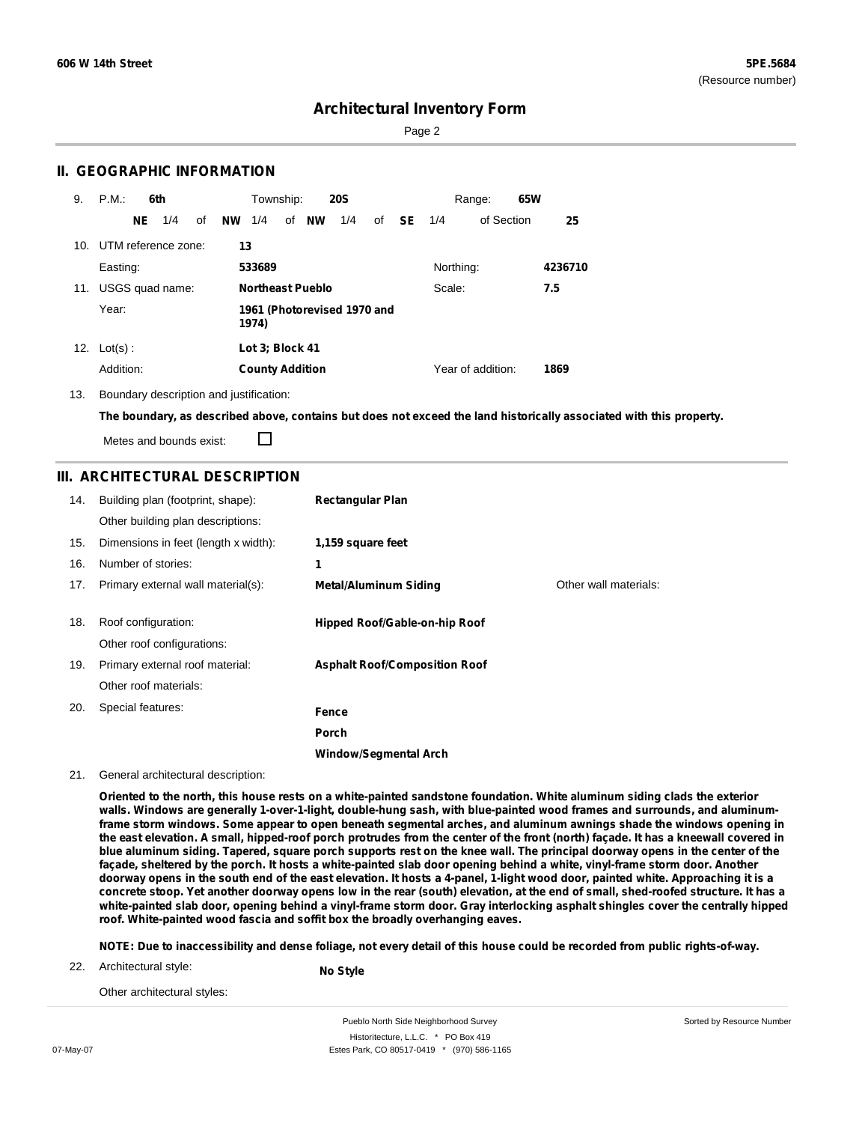Page 2

### **II. GEOGRAPHIC INFORMATION**

| 9.  | P.M.       |     | 6th                 |    |           | Township:                            |    |                         | <b>20S</b> |    |    |           | Range:            | 65W |         |
|-----|------------|-----|---------------------|----|-----------|--------------------------------------|----|-------------------------|------------|----|----|-----------|-------------------|-----|---------|
|     |            | NE. | 1/4                 | οf | <b>NW</b> | 1/4                                  | of | NW                      | 1/4        | of | SE | 1/4       | of Section        |     | 25      |
| 10. |            |     | UTM reference zone: |    | 13        |                                      |    |                         |            |    |    |           |                   |     |         |
|     | Easting:   |     |                     |    |           | 533689                               |    |                         |            |    |    | Northing: |                   |     | 4236710 |
| 11. |            |     | USGS quad name:     |    |           |                                      |    | <b>Northeast Pueblo</b> |            |    |    | Scale:    |                   |     | 7.5     |
|     | Year:      |     |                     |    |           | 1961 (Photorevised 1970 and<br>1974) |    |                         |            |    |    |           |                   |     |         |
| 12. | $Lot(s)$ : |     |                     |    |           | Lot 3; Block 41                      |    |                         |            |    |    |           |                   |     |         |
|     | Addition:  |     |                     |    |           | <b>County Addition</b>               |    |                         |            |    |    |           | Year of addition: |     | 1869    |

13. Boundary description and justification:

The boundary, as described above, contains but does not exceed the land historically associated with this property.

П Metes and bounds exist:

### **III. ARCHITECTURAL DESCRIPTION**

| 14. | Building plan (footprint, shape):<br>Other building plan descriptions: | <b>Rectangular Plan</b>              |                       |
|-----|------------------------------------------------------------------------|--------------------------------------|-----------------------|
| 15. | Dimensions in feet (length x width):                                   | 1,159 square feet                    |                       |
| 16. | Number of stories:                                                     | 1                                    |                       |
| 17. | Primary external wall material(s):                                     | <b>Metal/Aluminum Siding</b>         | Other wall materials: |
|     |                                                                        |                                      |                       |
| 18. | Roof configuration:                                                    | Hipped Roof/Gable-on-hip Roof        |                       |
|     | Other roof configurations:                                             |                                      |                       |
| 19. | Primary external roof material:                                        | <b>Asphalt Roof/Composition Roof</b> |                       |
|     | Other roof materials:                                                  |                                      |                       |
| 20. | Special features:                                                      | <b>Fence</b>                         |                       |
|     |                                                                        | Porch                                |                       |
|     |                                                                        | <b>Window/Segmental Arch</b>         |                       |

21. General architectural description:

Oriented to the north, this house rests on a white-painted sandstone foundation. White aluminum siding clads the exterior walls. Windows are generally 1-over-1-light, double-hung sash, with blue-painted wood frames and surrounds, and aluminumframe storm windows. Some appear to open beneath segmental arches, and aluminum awnings shade the windows opening in the east elevation. A small, hipped-roof porch protrudes from the center of the front (north) façade. It has a kneewall covered in blue aluminum siding. Tapered, square porch supports rest on the knee wall. The principal doorway opens in the center of the façade, sheltered by the porch. It hosts a white-painted slab door opening behind a white, vinyl-frame storm door. Another doorway opens in the south end of the east elevation. It hosts a 4-panel, 1-light wood door, painted white. Approaching it is a concrete stoop. Yet another doorway opens low in the rear (south) elevation, at the end of small, shed-roofed structure. It has a white-painted slab door, opening behind a vinyl-frame storm door. Gray interlocking asphalt shingles cover the centrally hipped **roof. White-painted wood fascia and soffit box the broadly overhanging eaves.**

NOTE: Due to inaccessibility and dense foliage, not every detail of this house could be recorded from public rights-of-way.

22. Architectural style:

**No Style**

Other architectural styles: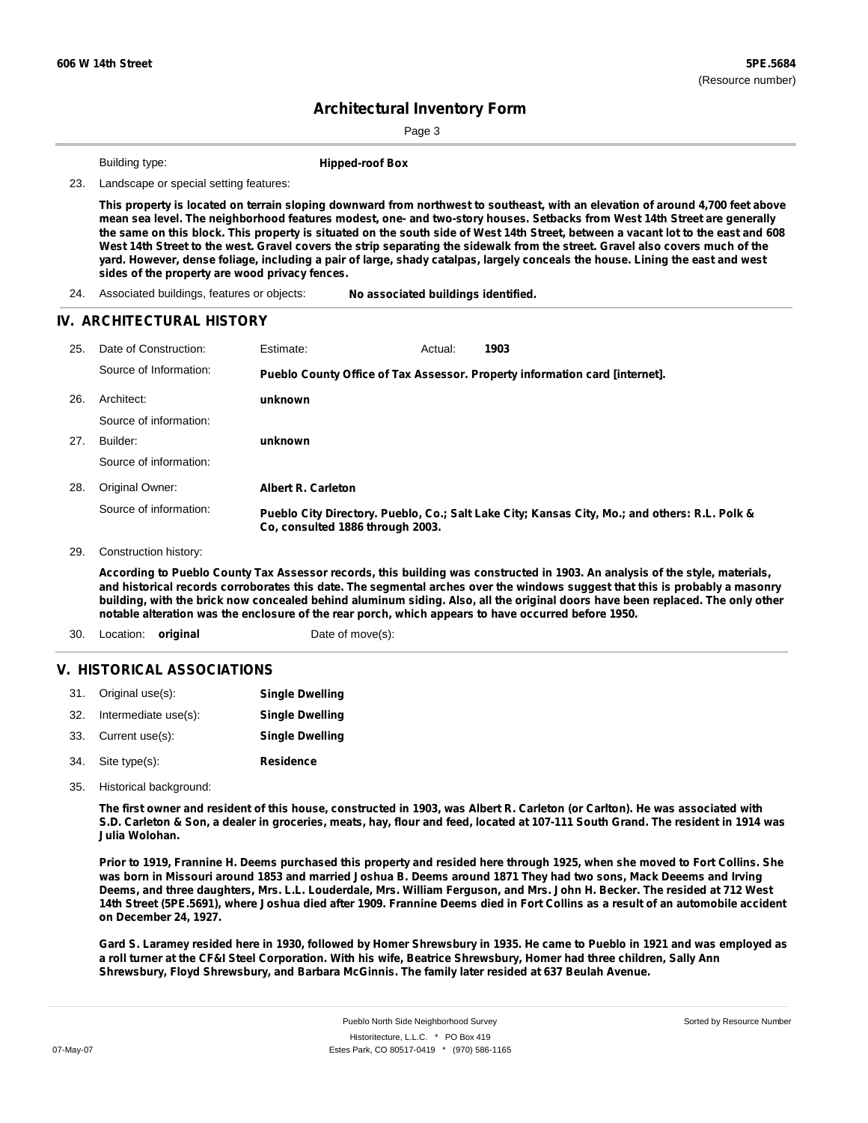Page 3

Building type: **Hipped-roof Box**

23. Landscape or special setting features:

This property is located on terrain sloping downward from northwest to southeast, with an elevation of around 4,700 feet above mean sea level. The neighborhood features modest, one- and two-story houses. Setbacks from West 14th Street are generally the same on this block. This property is situated on the south side of West 14th Street, between a vacant lot to the east and 608 West 14th Street to the west. Gravel covers the strip separating the sidewalk from the street. Gravel also covers much of the yard. However, dense foliage, including a pair of large, shady catalpas, largely conceals the house. Lining the east and west **sides of the property are wood privacy fences.**

#### **IV. ARCHITECTURAL HISTORY**

| 25. | Date of Construction:  | Estimate:                        | Actual: | 1903                                                                                          |
|-----|------------------------|----------------------------------|---------|-----------------------------------------------------------------------------------------------|
|     | Source of Information: |                                  |         | Pueblo County Office of Tax Assessor. Property information card [internet].                   |
| 26. | Architect:             | unknown                          |         |                                                                                               |
|     | Source of information: |                                  |         |                                                                                               |
| 27. | Builder:               | unknown                          |         |                                                                                               |
|     | Source of information: |                                  |         |                                                                                               |
| 28. | Original Owner:        | <b>Albert R. Carleton</b>        |         |                                                                                               |
|     | Source of information: | Co. consulted 1886 through 2003. |         | Pueblo City Directory. Pueblo, Co.; Salt Lake City; Kansas City, Mo.; and others: R.L. Polk & |

29. Construction history:

According to Pueblo County Tax Assessor records, this building was constructed in 1903. An analysis of the style, materials, and historical records corroborates this date. The segmental arches over the windows suggest that this is probably a masonry building, with the brick now concealed behind aluminum siding. Also, all the original doors have been replaced. The only other **notable alteration was the enclosure of the rear porch, which appears to have occurred before 1950.**

30. Location: **original** Date of move(s):

### **V. HISTORICAL ASSOCIATIONS**

| 31. Original use(s):     | <b>Single Dwelling</b> |
|--------------------------|------------------------|
| 32. Intermediate use(s): | <b>Single Dwelling</b> |
| 33. Current use(s):      | <b>Single Dwelling</b> |
| 34. Site type(s):        | <b>Residence</b>       |

35. Historical background:

The first owner and resident of this house, constructed in 1903, was Albert R. Carleton (or Carlton). He was associated with S.D. Carleton & Son, a dealer in groceries, meats, hay, flour and feed, located at 107-111 South Grand. The resident in 1914 was **Julia Wolohan.**

Prior to 1919, Frannine H. Deems purchased this property and resided here through 1925, when she moved to Fort Collins. She was born in Missouri around 1853 and married Joshua B. Deems around 1871 They had two sons, Mack Deeems and Irving Deems, and three daughters, Mrs. L.L. Louderdale, Mrs. William Ferguson, and Mrs. John H. Becker. The resided at 712 West 14th Street (5PE.5691), where Joshua died after 1909. Frannine Deems died in Fort Collins as a result of an automobile accident **on December 24, 1927.**

Gard S. Laramey resided here in 1930, followed by Homer Shrewsbury in 1935. He came to Pueblo in 1921 and was employed as a roll turner at the CF&I Steel Corporation. With his wife, Beatrice Shrewsbury, Homer had three children, Sally Ann **Shrewsbury, Floyd Shrewsbury, and Barbara McGinnis. The family later resided at 637 Beulah Avenue.**

<sup>24.</sup> Associated buildings, features or objects: **No associated buildings identified.**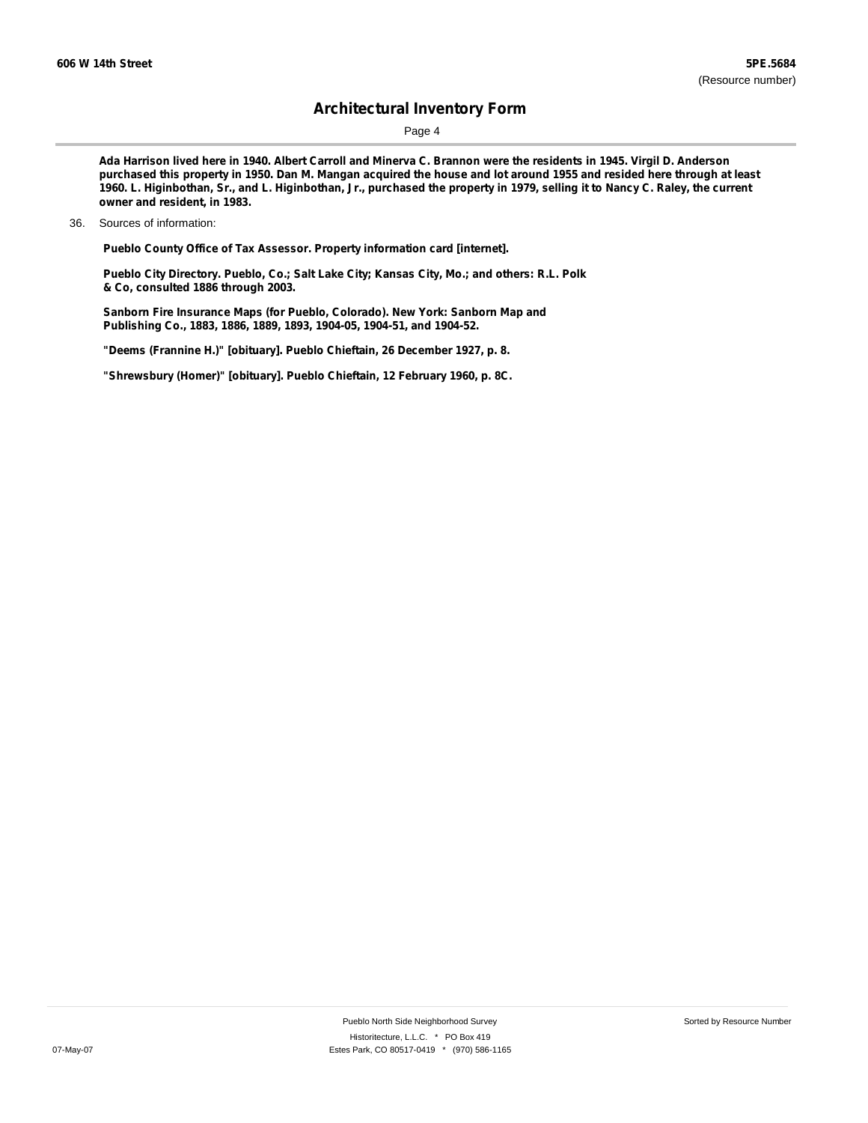Page 4

Ada Harrison lived here in 1940. Albert Carroll and Minerva C. Brannon were the residents in 1945. Virgil D. Anderson purchased this property in 1950. Dan M. Mangan acquired the house and lot around 1955 and resided here through at least 1960. L. Higinbothan, Sr., and L. Higinbothan, Jr., purchased the property in 1979, selling it to Nancy C. Raley, the current **owner and resident, in 1983.**

**Pueblo County Office of Tax Assessor. Property information card [internet].**

**Pueblo City Directory. Pueblo, Co.; Salt Lake City; Kansas City, Mo.; and others: R.L. Polk & Co, consulted 1886 through 2003.**

**Sanborn Fire Insurance Maps (for Pueblo, Colorado). New York: Sanborn Map and Publishing Co., 1883, 1886, 1889, 1893, 1904-05, 1904-51, and 1904-52.**

**"Deems (Frannine H.)" [obituary]. Pueblo Chieftain, 26 December 1927, p. 8.**

**"Shrewsbury (Homer)" [obituary]. Pueblo Chieftain, 12 February 1960, p. 8C.**

<sup>36.</sup> Sources of information: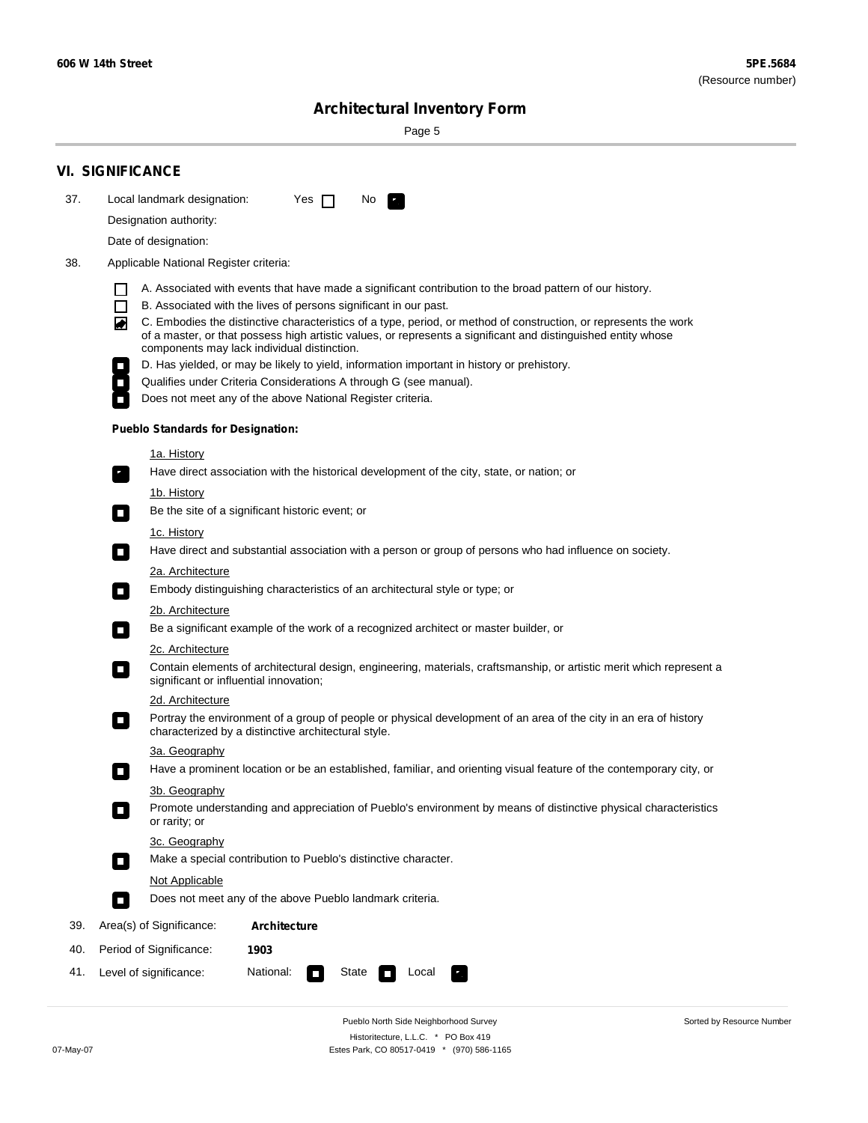۰

Sorted by Resource Number

# **Architectural Inventory Form**

Page 5

|     | <b>VI. SIGNIFICANCE</b>                                                                                                                                                                                                                                                          |  |  |  |  |  |  |  |
|-----|----------------------------------------------------------------------------------------------------------------------------------------------------------------------------------------------------------------------------------------------------------------------------------|--|--|--|--|--|--|--|
| 37. | Local landmark designation:<br>Yes $\Box$<br>No.                                                                                                                                                                                                                                 |  |  |  |  |  |  |  |
|     | Designation authority:                                                                                                                                                                                                                                                           |  |  |  |  |  |  |  |
|     | Date of designation:                                                                                                                                                                                                                                                             |  |  |  |  |  |  |  |
| 38. | Applicable National Register criteria:                                                                                                                                                                                                                                           |  |  |  |  |  |  |  |
|     | A. Associated with events that have made a significant contribution to the broad pattern of our history.<br>1 I                                                                                                                                                                  |  |  |  |  |  |  |  |
|     | $\Box$<br>B. Associated with the lives of persons significant in our past.                                                                                                                                                                                                       |  |  |  |  |  |  |  |
|     | C. Embodies the distinctive characteristics of a type, period, or method of construction, or represents the work<br>of a master, or that possess high artistic values, or represents a significant and distinguished entity whose<br>components may lack individual distinction. |  |  |  |  |  |  |  |
|     | D. Has yielded, or may be likely to yield, information important in history or prehistory.                                                                                                                                                                                       |  |  |  |  |  |  |  |
|     | Qualifies under Criteria Considerations A through G (see manual).                                                                                                                                                                                                                |  |  |  |  |  |  |  |
|     | Does not meet any of the above National Register criteria.                                                                                                                                                                                                                       |  |  |  |  |  |  |  |
|     | <b>Pueblo Standards for Designation:</b>                                                                                                                                                                                                                                         |  |  |  |  |  |  |  |
|     | <u>1a. History</u>                                                                                                                                                                                                                                                               |  |  |  |  |  |  |  |
|     | Have direct association with the historical development of the city, state, or nation; or                                                                                                                                                                                        |  |  |  |  |  |  |  |
|     | 1b. History<br>Be the site of a significant historic event; or<br>$\mathcal{L}_{\mathcal{A}}$                                                                                                                                                                                    |  |  |  |  |  |  |  |
|     | <u>1c. History</u>                                                                                                                                                                                                                                                               |  |  |  |  |  |  |  |
|     | Have direct and substantial association with a person or group of persons who had influence on society.<br>$\blacksquare$                                                                                                                                                        |  |  |  |  |  |  |  |
|     | 2a. Architecture                                                                                                                                                                                                                                                                 |  |  |  |  |  |  |  |
|     | Embody distinguishing characteristics of an architectural style or type; or<br>$\overline{\phantom{a}}$                                                                                                                                                                          |  |  |  |  |  |  |  |
|     | <u>2b. Architecture</u>                                                                                                                                                                                                                                                          |  |  |  |  |  |  |  |
|     | Be a significant example of the work of a recognized architect or master builder, or<br>$\overline{\phantom{a}}$                                                                                                                                                                 |  |  |  |  |  |  |  |
|     | <b>2c. Architecture</b>                                                                                                                                                                                                                                                          |  |  |  |  |  |  |  |
|     | Contain elements of architectural design, engineering, materials, craftsmanship, or artistic merit which represent a<br>О<br>significant or influential innovation;                                                                                                              |  |  |  |  |  |  |  |
|     | 2d. Architecture                                                                                                                                                                                                                                                                 |  |  |  |  |  |  |  |
|     | Portray the environment of a group of people or physical development of an area of the city in an era of history<br>$\Box$<br>characterized by a distinctive architectural style.                                                                                                |  |  |  |  |  |  |  |
|     | 3a. Geography                                                                                                                                                                                                                                                                    |  |  |  |  |  |  |  |
|     | Have a prominent location or be an established, familiar, and orienting visual feature of the contemporary city, or<br>П                                                                                                                                                         |  |  |  |  |  |  |  |
|     | 3b. Geography<br>Promote understanding and appreciation of Pueblo's environment by means of distinctive physical characteristics<br>or rarity; or                                                                                                                                |  |  |  |  |  |  |  |
|     | 3c. Geography<br>Make a special contribution to Pueblo's distinctive character.<br>$\overline{\phantom{a}}$                                                                                                                                                                      |  |  |  |  |  |  |  |
|     | <b>Not Applicable</b>                                                                                                                                                                                                                                                            |  |  |  |  |  |  |  |
|     | Does not meet any of the above Pueblo landmark criteria.<br>$\sim$                                                                                                                                                                                                               |  |  |  |  |  |  |  |
| 39. | Area(s) of Significance:<br><b>Architecture</b>                                                                                                                                                                                                                                  |  |  |  |  |  |  |  |
| 40. | Period of Significance:<br>1903                                                                                                                                                                                                                                                  |  |  |  |  |  |  |  |
| 41. | National:<br>Level of significance:<br>State<br>Local                                                                                                                                                                                                                            |  |  |  |  |  |  |  |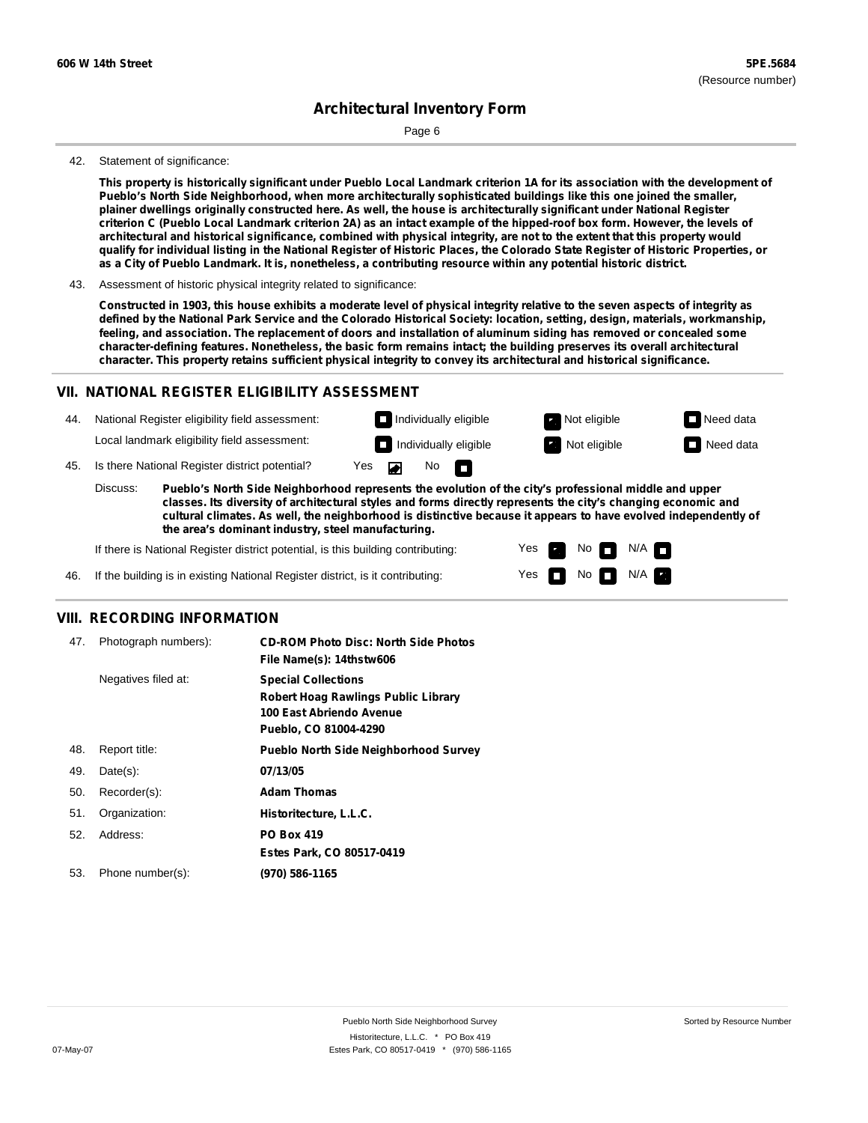Page 6

#### 42. Statement of significance:

This property is historically significant under Pueblo Local Landmark criterion 1A for its association with the development of **Pueblo's North Side Neighborhood, when more architecturally sophisticated buildings like this one joined the smaller,** plainer dwellings originally constructed here. As well, the house is architecturally significant under National Register criterion C (Pueblo Local Landmark criterion 2A) as an intact example of the hipped-roof box form. However, the levels of architectural and historical significance, combined with physical integrity, are not to the extent that this property would qualify for individual listing in the National Register of Historic Places, the Colorado State Register of Historic Properties, or as a City of Pueblo Landmark. It is, nonetheless, a contributing resource within any potential historic district.

43. Assessment of historic physical integrity related to significance:

Constructed in 1903, this house exhibits a moderate level of physical integrity relative to the seven aspects of integrity as defined by the National Park Service and the Colorado Historical Society: location, setting, design, materials, workmanship, feeling, and association. The replacement of doors and installation of aluminum siding has removed or concealed some **character-defining features. Nonetheless, the basic form remains intact; the building preserves its overall architectural character. This property retains sufficient physical integrity to convey its architectural and historical significance.**

#### **VII. NATIONAL REGISTER ELIGIBILITY ASSESSMENT**

National Register eligibility field assessment: 44. Local landmark eligibility field assessment:

45. Is there National Register district potential? Yes

**Pueblo's North Side Neighborhood represents the evolution of the city's professional middle and upper classes. Its diversity of architectural styles and forms directly represents the city's changing economic and cultural climates. As well, the neighborhood is distinctive because it appears to have evolved independently of the area's dominant industry, steel manufacturing.** Discuss:

 $\blacksquare$ 

 $No$ 

Yes Yes No

**Individually eligible Not eligible** Not eligible **Need data Individually eligible Not eligible Not eligible Need data** 

 $No$   $N/A$ 

 $N/A$   $\Box$ 

If there is National Register district potential, is this building contributing:



### **VIII. RECORDING INFORMATION**

| 47. | Photograph numbers): | <b>CD-ROM Photo Disc: North Side Photos</b><br>File Name(s): 14thstw606                                                       |
|-----|----------------------|-------------------------------------------------------------------------------------------------------------------------------|
|     | Negatives filed at:  | <b>Special Collections</b><br><b>Robert Hoag Rawlings Public Library</b><br>100 East Abriendo Avenue<br>Pueblo, CO 81004-4290 |
| 48. | Report title:        | <b>Pueblo North Side Neighborhood Survey</b>                                                                                  |
| 49. | $Date(s)$ :          | 07/13/05                                                                                                                      |
| 50. | Recorder(s):         | <b>Adam Thomas</b>                                                                                                            |
| 51. | Organization:        | Historitecture, L.L.C.                                                                                                        |
| 52. | Address:             | <b>PO Box 419</b>                                                                                                             |
|     |                      | Estes Park, CO 80517-0419                                                                                                     |
| 53. | Phone number(s):     | (970) 586-1165                                                                                                                |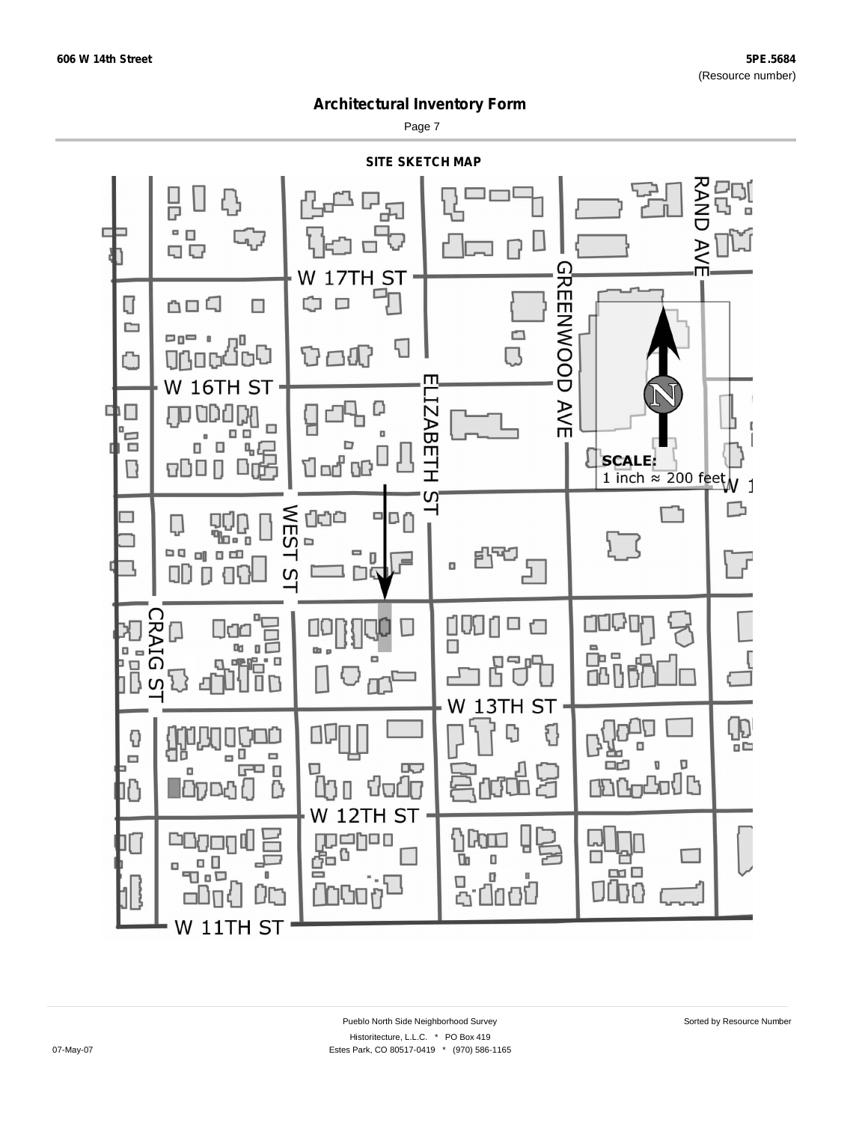Page 7